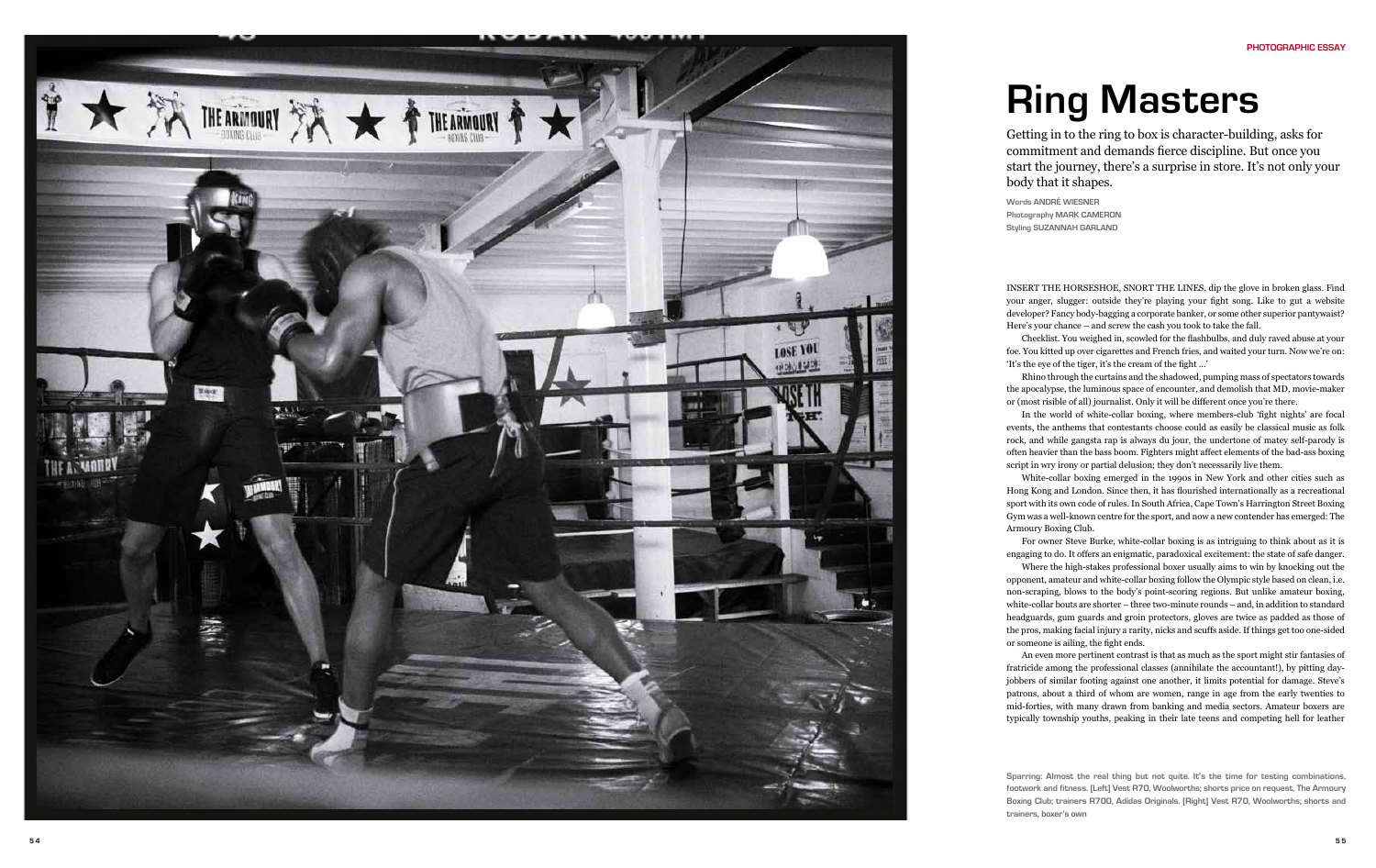Insert the horseshoe, snort the l ines, dip the glove in broken glass. Find your anger, slugger: outside they're playing your fight song. Like to gut a website developer? Fancy body-bagging a corporate banker, or some other superior pantywaist? Here's your chance – and screw the cash you took to take the fall.

Checklist. You weighed in, scowled for the flashbulbs, and duly raved abuse at your foe. You kitted up over cigarettes and French fries, and waited your turn. Now we're on: 'It's the eye of the tiger, it's the cream of the fight …'

Rhino through the curtains and the shadowed, pumping mass of spectators towards the apocalypse, the luminous space of encounter, and demolish that MD, movie-maker or (most risible of all) journalist. Only it will be different once you're there.

In the world of white-collar boxing, where members-club 'fight nights' are focal events, the anthems that contestants choose could as easily be classical music as folk rock, and while gangsta rap is always du jour, the undertone of matey self-parody is often heavier than the bass boom. Fighters might affect elements of the bad-ass boxing script in wry irony or partial delusion; they don't necessarily live them.

White-collar boxing emerged in the 1990s in New York and other cities such as Hong Kong and London. Since then, it has flourished internationally as a recreational sport with its own code of rules. In South Africa, Cape Town's Harrington Street Boxing Gym was a well-known centre for the sport, and now a new contender has emerged: The Armoury Boxing Club.

For owner Steve Burke, white-collar boxing is as intriguing to think about as it is engaging to do. It offers an enigmatic, paradoxical excitement: the state of safe danger.

Where the high-stakes professional boxer usually aims to win by knocking out the opponent, amateur and white-collar boxing follow the Olympic style based on clean, i.e. non-scraping, blows to the body's point-scoring regions. But unlike amateur boxing, white-collar bouts are shorter – three two-minute rounds – and, in addition to standard headguards, gum guards and groin protectors, gloves are twice as padded as those of the pros, making facial injury a rarity, nicks and scuffs aside. If things get too one-sided or someone is ailing, the fight ends.

An even more pertinent contrast is that as much as the sport might stir fantasies of fratricide among the professional classes (annihilate the accountant!), by pitting dayjobbers of similar footing against one another, it limits potential for damage. Steve's patrons, about a third of whom are women, range in age from the early twenties to mid-forties, with many drawn from banking and media sectors. Amateur boxers are typically township youths, peaking in their late teens and competing hell for leather

**Sparring: Almost the real thing but not quite. It's the time for testing combinations, footwork and fitness. [Left] Vest R70, Woolworths; shorts price on request, The Armoury Boxing Club; trainers R700, Adidas Originals. [Right] Vest R70, Woolworths; shorts and trainers, boxer's own**

Getting in to the ring to box is character-building, asks for commitment and demands fierce discipline. But once you start the journey, there's a surprise in store. It's not only your body that it shapes.

## **Ring Masters**

**Words And r É W i e sne r Photography MARK CAM ERO N Styling SUZANNAH GARLAND**

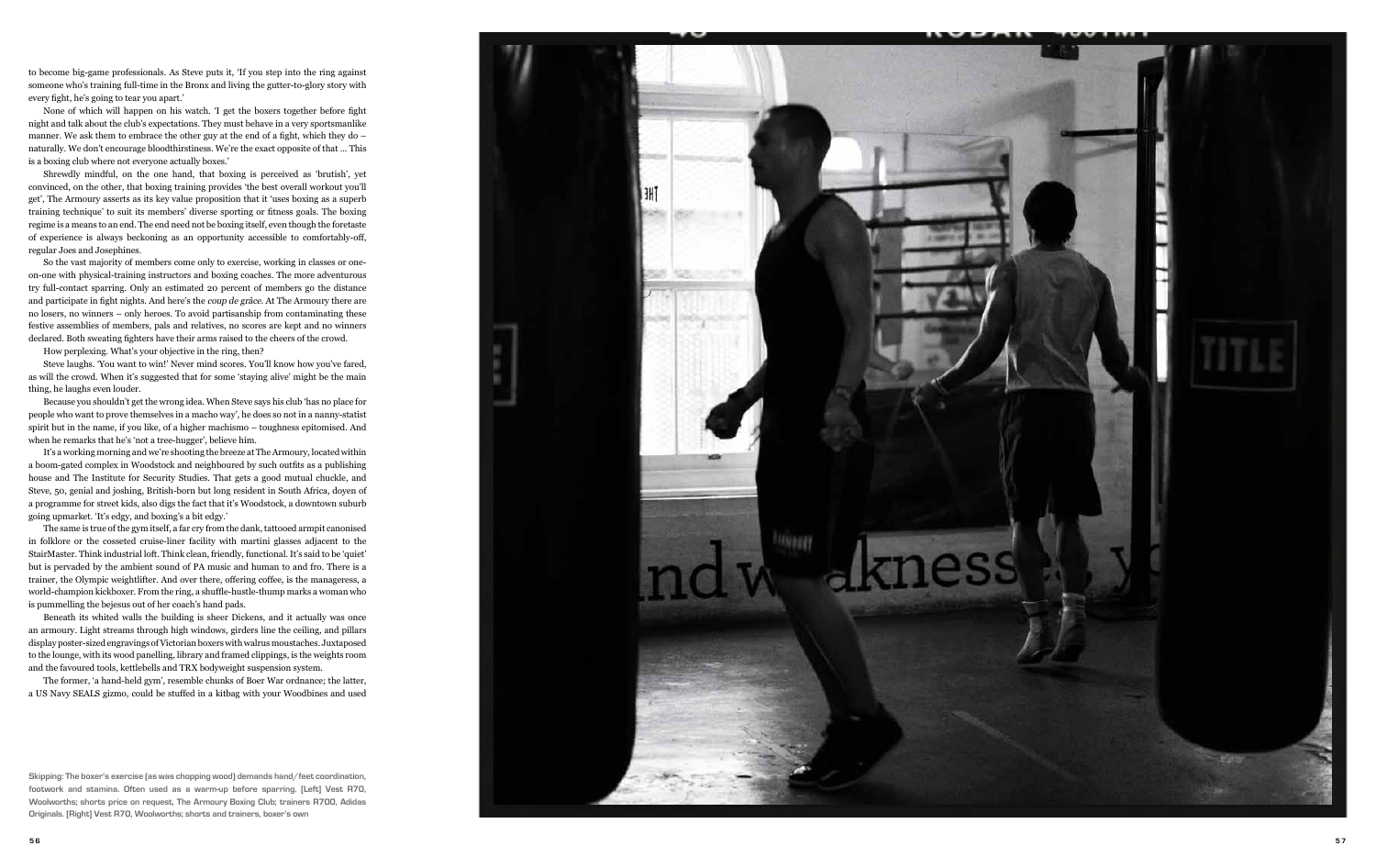**Skipping: The boxer's exercise (as was chopping wood) demands hand/feet coordination, footwork and stamina. Often used as a warm-up before sparring. [Left] Vest R70, Woolworths; shorts price on request, The Armoury Boxing Club; trainers R700, Adidas Originals. [Right] Vest R70, Woolworths; shorts and trainers, boxer's own**



to become big-game professionals. As Steve puts it, 'If you step into the ring against someone who's training full-time in the Bronx and living the gutter-to-glory story with every fight, he's going to tear you apart.'

None of which will happen on his watch. 'I get the boxers together before fight night and talk about the club's expectations. They must behave in a very sportsmanlike manner. We ask them to embrace the other guy at the end of a fight, which they do – naturally. We don't encourage bloodthirstiness. We're the exact opposite of that ... This is a boxing club where not everyone actually boxes.'

Shrewdly mindful, on the one hand, that boxing is perceived as 'brutish', yet convinced, on the other, that boxing training provides 'the best overall workout you'll get', The Armoury asserts as its key value proposition that it 'uses boxing as a superb training technique' to suit its members' diverse sporting or fitness goals. The boxing regime is a means to an end. The end need not be boxing itself, even though the foretaste of experience is always beckoning as an opportunity accessible to comfortably-off, regular Joes and Josephines.

So the vast majority of members come only to exercise, working in classes or oneon-one with physical-training instructors and boxing coaches. The more adventurous try full-contact sparring. Only an estimated 20 percent of members go the distance and participate in fight nights. And here's the *coup de grâce*. At The Armoury there are no losers, no winners – only heroes. To avoid partisanship from contaminating these festive assemblies of members, pals and relatives, no scores are kept and no winners declared. Both sweating fighters have their arms raised to the cheers of the crowd.

How perplexing. What's your objective in the ring, then?

Steve laughs. 'You want to win!' Never mind scores. You'll know how you've fared, as will the crowd. When it's suggested that for some 'staying alive' might be the main thing, he laughs even louder.

Because you shouldn't get the wrong idea. When Steve says his club 'has no place for people who want to prove themselves in a macho way', he does so not in a nanny-statist spirit but in the name, if you like, of a higher machismo – toughness epitomised. And when he remarks that he's 'not a tree-hugger', believe him.

It's a working morning and we're shooting the breeze at The Armoury, located within a boom-gated complex in Woodstock and neighboured by such outfits as a publishing house and The Institute for Security Studies. That gets a good mutual chuckle, and Steve, 50, genial and joshing, British-born but long resident in South Africa, doyen of a programme for street kids, also digs the fact that it's Woodstock, a downtown suburb going upmarket. 'It's edgy, and boxing's a bit edgy.'

The same is true of the gym itself, a far cry from the dank, tattooed armpit canonised in folklore or the cosseted cruise-liner facility with martini glasses adjacent to the StairMaster. Think industrial loft. Think clean, friendly, functional. It's said to be 'quiet' but is pervaded by the ambient sound of PA music and human to and fro. There is a trainer, the Olympic weightlifter. And over there, offering coffee, is the manageress, a world-champion kickboxer. From the ring, a shuffle-hustle-thump marks a woman who is pummelling the bejesus out of her coach's hand pads.

Beneath its whited walls the building is sheer Dickens, and it actually was once an armoury. Light streams through high windows, girders line the ceiling, and pillars display poster-sized engravings of Victorian boxers with walrus moustaches. Juxtaposed to the lounge, with its wood panelling, library and framed clippings, is the weights room and the favoured tools, kettlebells and TRX bodyweight suspension system.

The former, 'a hand-held gym', resemble chunks of Boer War ordnance; the latter, a U S Navy SEALS gizmo, could be stuffed in a kitbag with your Woodbines and used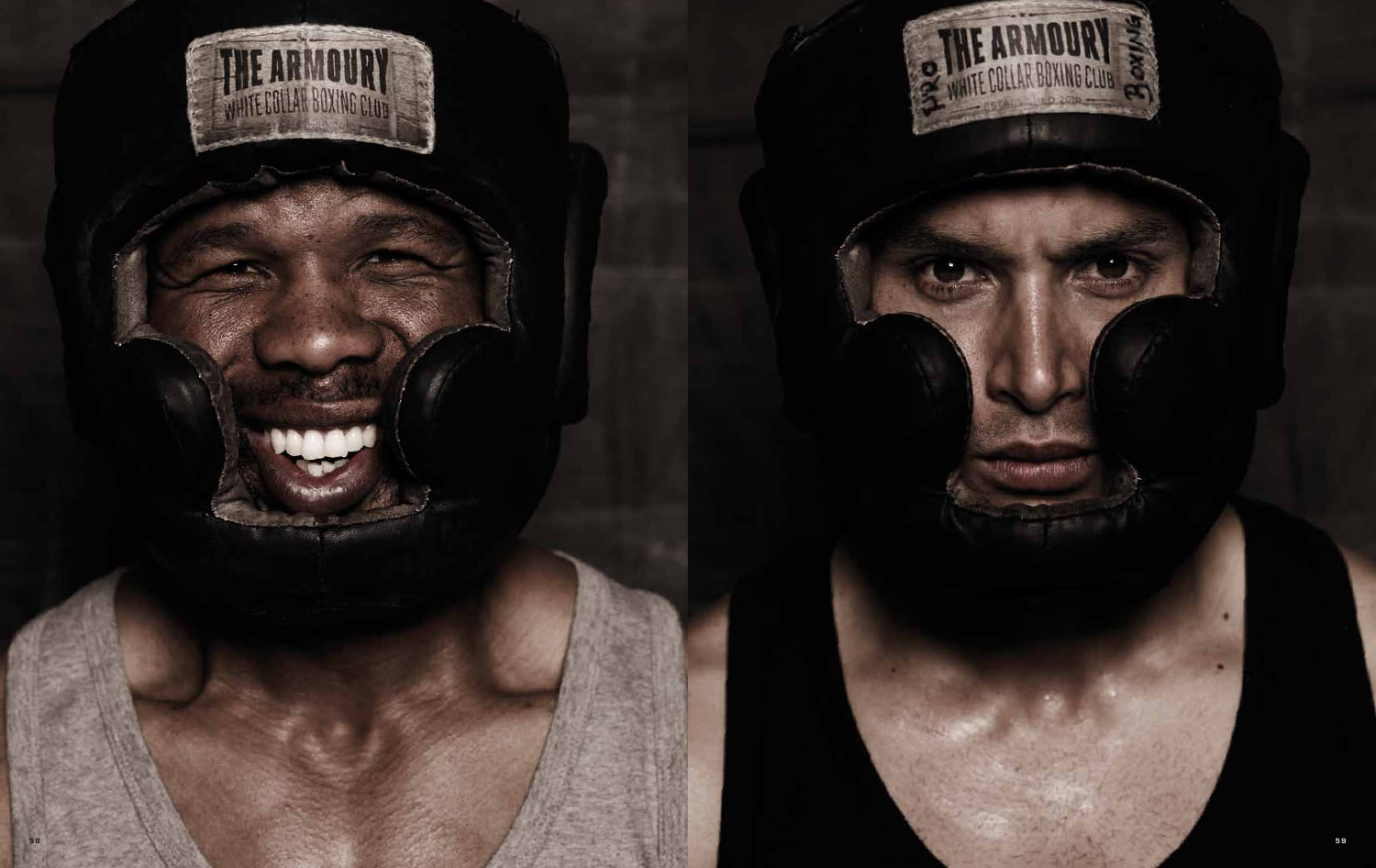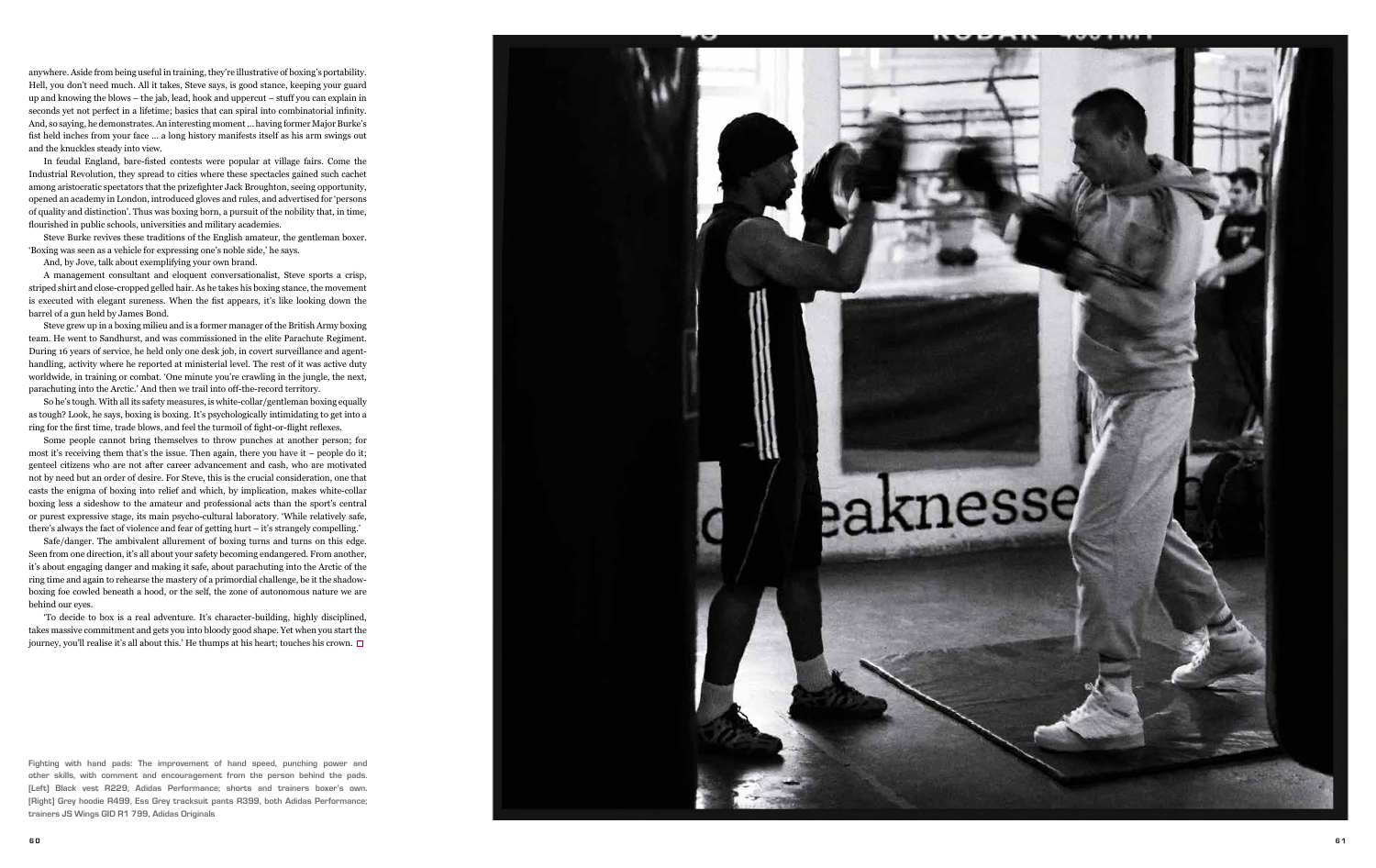anywhere. Aside from being useful in training, they're illustrative of boxing's portability. Hell, you don't need much. All it takes, Steve says, is good stance, keeping your guard up and knowing the blows – the jab, lead, hook and uppercut – stuff you can explain in seconds yet not perfect in a lifetime; basics that can spiral into combinatorial infinity. And, so saying, he demonstrates. An interesting moment ... having former Major Burke's fist held inches from your face ... a long history manifests itself as his arm swings out and the knuckles steady into view.

In feudal England, bare-fisted contests were popular at village fairs. Come the Industrial Revolution, they spread to cities where these spectacles gained such cachet among aristocratic spectators that the prizefighter Jack Broughton, seeing opportunity, opened an academy in London, introduced gloves and rules, and advertised for 'persons of quality and distinction'. Thus was boxing born, a pursuit of the nobility that, in time, flourished in public schools, universities and military academies.

Steve Burke revives these traditions of the English amateur, the gentleman boxer. 'Boxing was seen as a vehicle for expressing one's noble side,' he says.

And, by Jove, talk about exemplifying your own brand.

A management consultant and eloquent conversationalist, Steve sports a crisp, striped shirt and close-cropped gelled hair. As he takes his boxing stance, the movement is executed with elegant sureness. When the fist appears, it's like looking down the barrel of a gun held by James Bond.

Steve grew up in a boxing milieu and is a former manager of the British Army boxing team. He went to Sandhurst, and was commissioned in the elite Parachute Regiment. During 16 years of service, he held only one desk job, in covert surveillance and agenthandling, activity where he reported at ministerial level. The rest of it was active duty worldwide, in training or combat. ' One minute you're crawling in the jungle, the next, parachuting into the Arctic.' And then we trail into off-the-record territory.

So he's tough. With all its safety measures, is white-collar/gentleman boxing equally as tough? Look, he says, boxing is boxing. It's psychologically intimidating to get into a ring for the first time, trade blows, and feel the turmoil of fight-or-flight reflexes.

Some people cannot bring themselves to throw punches at another person; for most it's receiving them that's the issue. Then again, there you have it – people do it; genteel citizens who are not after career advancement and cash, who are motivated not by need but an order of desire. For Steve, this is the crucial consideration, one that casts the enigma of boxing into relief and which, by implication, makes white-collar boxing less a sideshow to the amateur and professional acts than the sport's central or purest expressive stage, its main psycho-cultural laboratory. 'While relatively safe, there's always the fact of violence and fear of getting hurt – it's strangely compelling.'

Safe/danger. The ambivalent allurement of boxing turns and turns on this edge. Seen from one direction, it's all about your safety becoming endangered. From another, it's about engaging danger and making it safe, about parachuting into the Arctic of the ring time and again to rehearse the mastery of a primordial challenge, be it the shadowboxing foe cowled beneath a hood, or the self, the zone of autonomous nature we are behind our eyes.

'To decide to box is a real adventure. It's character-building, highly disciplined, takes massive commitment and gets you into bloody good shape. Yet when you start the journey, you'll realise it's all about this.' He thumps at his heart; touches his crown.

**Fighting with hand pads: The improvement of hand speed, punching power and other skills, with comment and encouragement from the person behind the pads. [Left] Black vest R229, Adidas Performance; shorts and trainers boxer's own. [Right] Grey hoodie R499, Ess Grey tracksuit pants R399, both Adidas Performance; trainers JS Wings GI D R1 799, Adidas Originals**

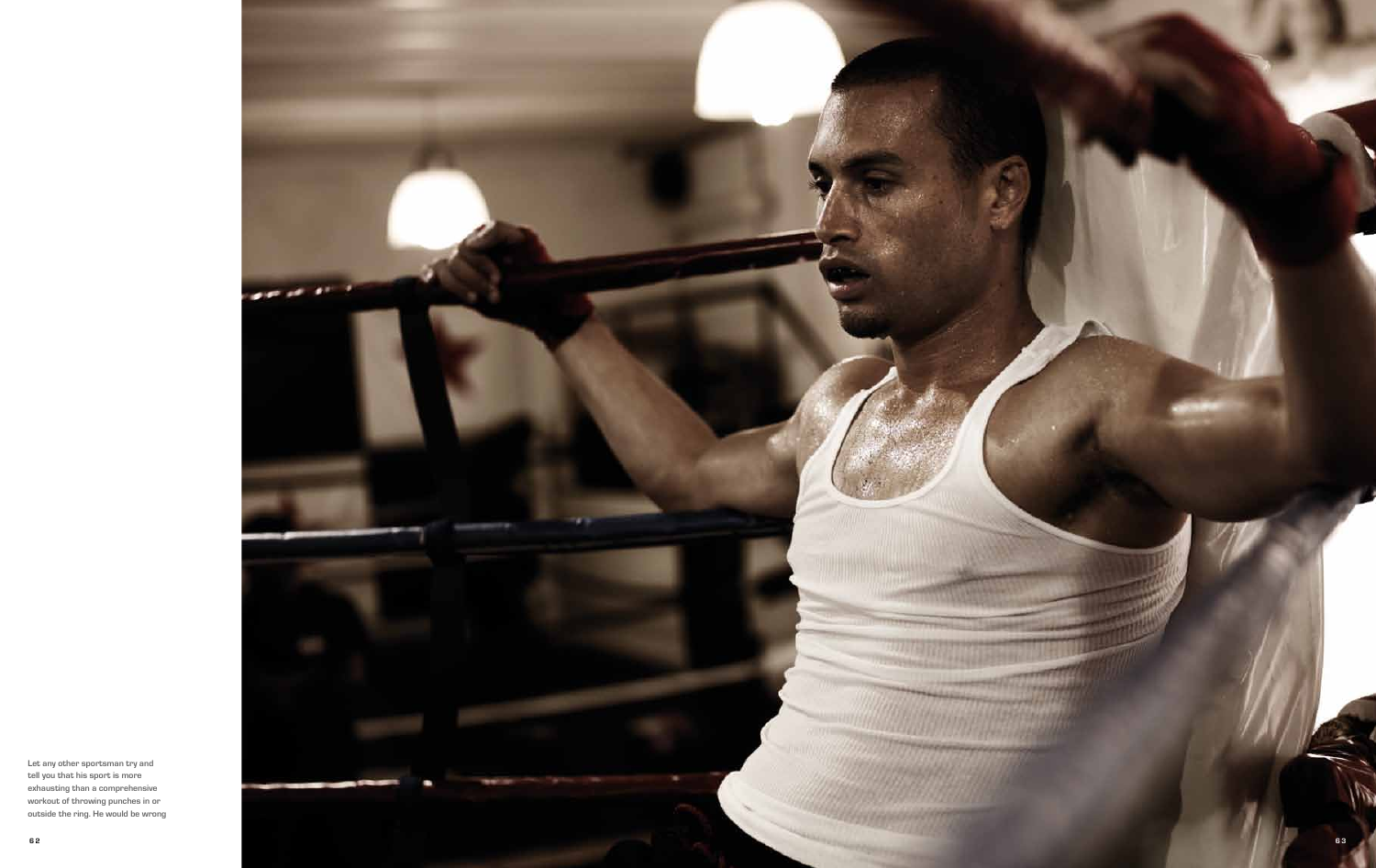

**Let any other sportsman try and tell you that his sport is more exhausting than a comprehensive workout of throwing punches in or outside the ring. He would be wrong**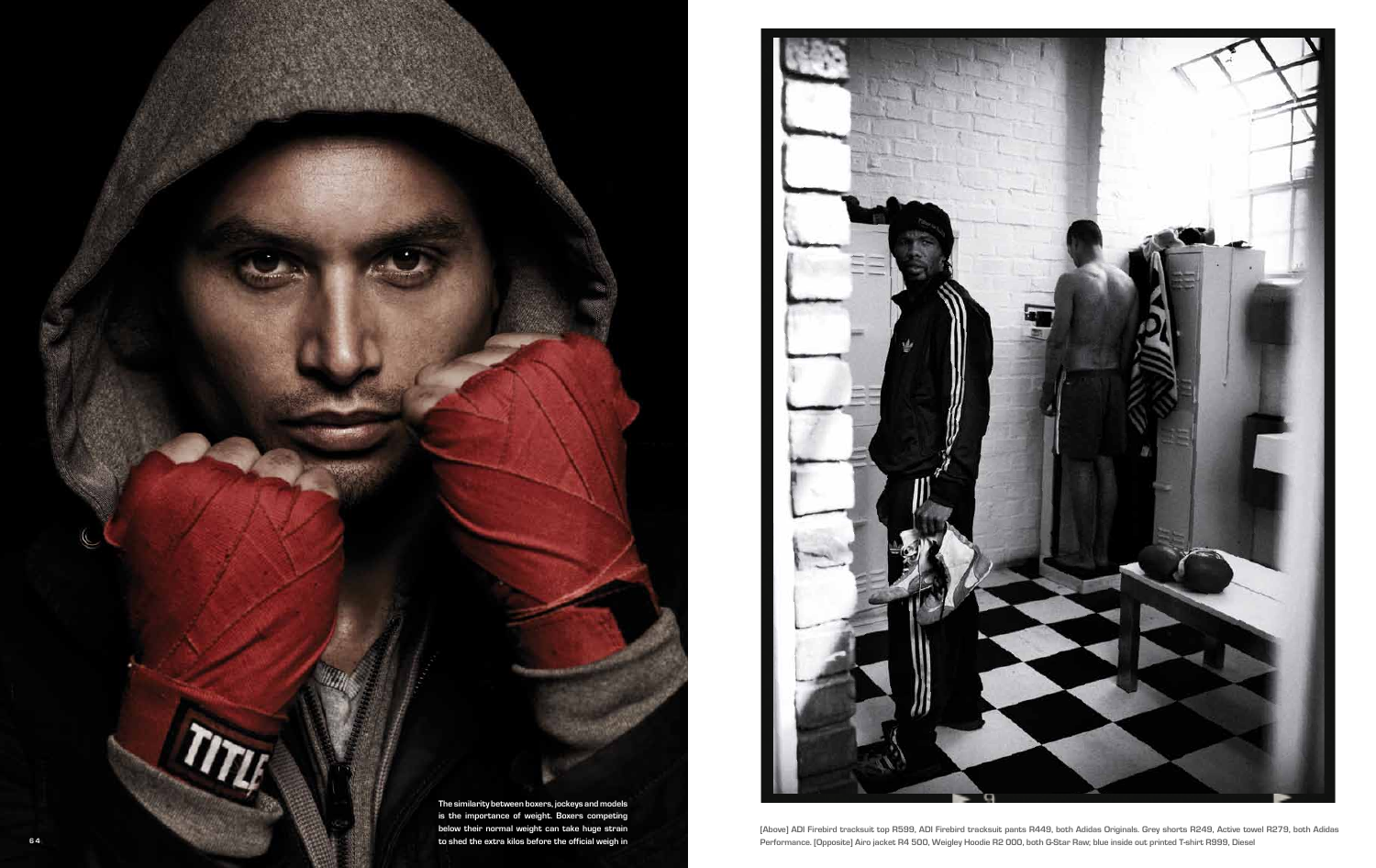$\frac{d\eta}{dt}$ 

**[Above] A DI Firebird tracksuit top R599, A DI Firebird tracksuit pants R449, both Adidas Originals. Grey shorts R249, Active towel R279, both Adidas Performance. [Opposite] Airo jacket R4 500, Weigley Hoodie R2 000, both G-Star Raw; blue inside out printed T-shirt R999, Diesel** 



**The similarity between boxers, jockeys and models is the importance of weight. Boxers competing below their normal weight can take huge strain 6 4 to shed the extra kilos before the official weigh in**